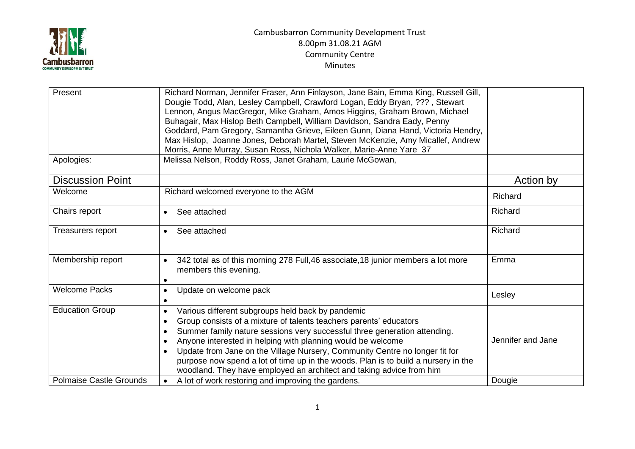

## Cambusbarron Community Development Trust 8.00pm 31.08.21 AGM Community Centre Minutes

| Present<br>Apologies:          | Richard Norman, Jennifer Fraser, Ann Finlayson, Jane Bain, Emma King, Russell Gill,<br>Dougie Todd, Alan, Lesley Campbell, Crawford Logan, Eddy Bryan, ???, Stewart<br>Lennon, Angus MacGregor, Mike Graham, Amos Higgins, Graham Brown, Michael<br>Buhagair, Max Hislop Beth Campbell, William Davidson, Sandra Eady, Penny<br>Goddard, Pam Gregory, Samantha Grieve, Eileen Gunn, Diana Hand, Victoria Hendry,<br>Max Hislop, Joanne Jones, Deborah Martel, Steven McKenzie, Amy Micallef, Andrew<br>Morris, Anne Murray, Susan Ross, Nichola Walker, Marie-Anne Yare 37<br>Melissa Nelson, Roddy Ross, Janet Graham, Laurie McGowan, |                   |
|--------------------------------|-----------------------------------------------------------------------------------------------------------------------------------------------------------------------------------------------------------------------------------------------------------------------------------------------------------------------------------------------------------------------------------------------------------------------------------------------------------------------------------------------------------------------------------------------------------------------------------------------------------------------------------------|-------------------|
|                                |                                                                                                                                                                                                                                                                                                                                                                                                                                                                                                                                                                                                                                         |                   |
| <b>Discussion Point</b>        |                                                                                                                                                                                                                                                                                                                                                                                                                                                                                                                                                                                                                                         | Action by         |
| Welcome                        | Richard welcomed everyone to the AGM                                                                                                                                                                                                                                                                                                                                                                                                                                                                                                                                                                                                    | Richard           |
| Chairs report                  | See attached<br>$\bullet$                                                                                                                                                                                                                                                                                                                                                                                                                                                                                                                                                                                                               | Richard           |
| <b>Treasurers report</b>       | See attached<br>$\bullet$                                                                                                                                                                                                                                                                                                                                                                                                                                                                                                                                                                                                               | Richard           |
| Membership report              | 342 total as of this morning 278 Full, 46 associate, 18 junior members a lot more<br>$\bullet$<br>members this evening.<br>$\bullet$                                                                                                                                                                                                                                                                                                                                                                                                                                                                                                    | Emma              |
| <b>Welcome Packs</b>           | Update on welcome pack<br>$\bullet$<br>$\bullet$                                                                                                                                                                                                                                                                                                                                                                                                                                                                                                                                                                                        | Lesley            |
| <b>Education Group</b>         | Various different subgroups held back by pandemic<br>$\bullet$<br>Group consists of a mixture of talents teachers parents' educators<br>$\bullet$<br>Summer family nature sessions very successful three generation attending.<br>$\bullet$<br>Anyone interested in helping with planning would be welcome<br>$\bullet$<br>Update from Jane on the Village Nursery, Community Centre no longer fit for<br>$\bullet$<br>purpose now spend a lot of time up in the woods. Plan is to build a nursery in the<br>woodland. They have employed an architect and taking advice from him                                                       | Jennifer and Jane |
| <b>Polmaise Castle Grounds</b> | A lot of work restoring and improving the gardens.<br>$\bullet$                                                                                                                                                                                                                                                                                                                                                                                                                                                                                                                                                                         | Dougie            |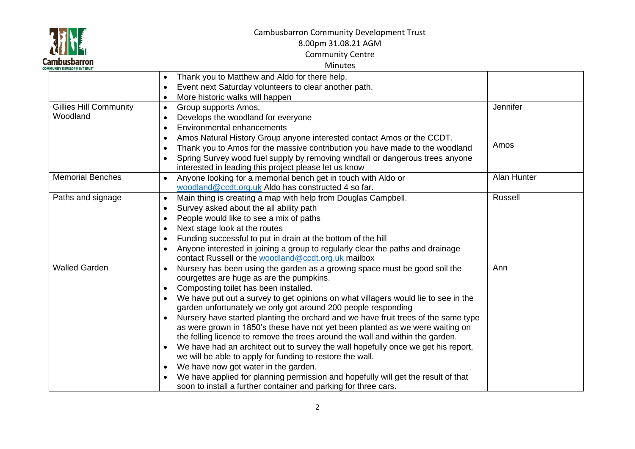| <b>Cambusbarron</b><br>NITY DEVELOPMENT TRUST<br><b>COM</b> |  |
|-------------------------------------------------------------|--|

# Cambusbarron Community Development Trust

8.00pm 31.08.21 AGM

Community Centre

## Minutes

|                               | Thank you to Matthew and Aldo for there help.<br>$\bullet$                                      |             |
|-------------------------------|-------------------------------------------------------------------------------------------------|-------------|
|                               | Event next Saturday volunteers to clear another path.<br>$\bullet$                              |             |
|                               | More historic walks will happen<br>$\bullet$                                                    |             |
| <b>Gillies Hill Community</b> | Group supports Amos,<br>$\bullet$                                                               | Jennifer    |
| Woodland                      | Develops the woodland for everyone<br>$\bullet$                                                 |             |
|                               | Environmental enhancements<br>$\bullet$                                                         |             |
|                               | Amos Natural History Group anyone interested contact Amos or the CCDT.<br>$\bullet$             |             |
|                               | Thank you to Amos for the massive contribution you have made to the woodland<br>$\bullet$       | Amos        |
|                               | Spring Survey wood fuel supply by removing windfall or dangerous trees anyone<br>$\bullet$      |             |
|                               | interested in leading this project please let us know                                           |             |
| <b>Memorial Benches</b>       | Anyone looking for a memorial bench get in touch with Aldo or<br>$\bullet$                      | Alan Hunter |
|                               | woodland@ccdt.org.uk Aldo has constructed 4 so far.                                             |             |
| Paths and signage             | Main thing is creating a map with help from Douglas Campbell.<br>$\bullet$                      | Russell     |
|                               | Survey asked about the all ability path<br>$\bullet$                                            |             |
|                               | People would like to see a mix of paths<br>$\bullet$                                            |             |
|                               | Next stage look at the routes<br>٠                                                              |             |
|                               | Funding successful to put in drain at the bottom of the hill<br>$\bullet$                       |             |
|                               | Anyone interested in joining a group to regularly clear the paths and drainage<br>$\bullet$     |             |
|                               | contact Russell or the woodland@ccdt.org.uk mailbox                                             |             |
| <b>Walled Garden</b>          | Nursery has been using the garden as a growing space must be good soil the<br>$\bullet$         | Ann         |
|                               | courgettes are huge as are the pumpkins.                                                        |             |
|                               | Composting toilet has been installed.<br>$\bullet$                                              |             |
|                               | We have put out a survey to get opinions on what villagers would lie to see in the<br>$\bullet$ |             |
|                               | garden unfortunately we only got around 200 people responding                                   |             |
|                               | Nursery have started planting the orchard and we have fruit trees of the same type              |             |
|                               | as were grown in 1850's these have not yet been planted as we were waiting on                   |             |
|                               | the felling licence to remove the trees around the wall and within the garden.                  |             |
|                               | We have had an architect out to survey the wall hopefully once we get his report,               |             |
|                               | we will be able to apply for funding to restore the wall.                                       |             |
|                               | We have now got water in the garden.<br>$\bullet$                                               |             |
|                               | We have applied for planning permission and hopefully will get the result of that               |             |
|                               | soon to install a further container and parking for three cars.                                 |             |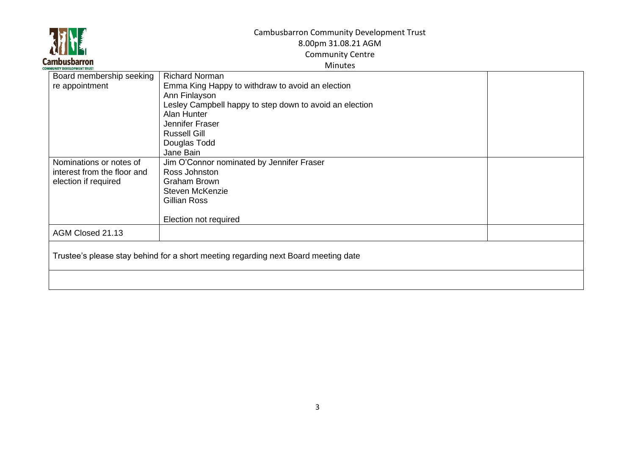

## Cambusbarron Community Development Trust 8.00pm 31.08.21 AGM Community Centre

#### Minutes

| Board membership seeking                                                           | <b>Richard Norman</b>                                   |  |  |  |
|------------------------------------------------------------------------------------|---------------------------------------------------------|--|--|--|
| re appointment                                                                     | Emma King Happy to withdraw to avoid an election        |  |  |  |
|                                                                                    | Ann Finlayson                                           |  |  |  |
|                                                                                    | Lesley Campbell happy to step down to avoid an election |  |  |  |
|                                                                                    | Alan Hunter                                             |  |  |  |
|                                                                                    | Jennifer Fraser                                         |  |  |  |
|                                                                                    | <b>Russell Gill</b>                                     |  |  |  |
|                                                                                    | Douglas Todd                                            |  |  |  |
|                                                                                    | Jane Bain                                               |  |  |  |
| Nominations or notes of                                                            | Jim O'Connor nominated by Jennifer Fraser               |  |  |  |
| interest from the floor and                                                        | Ross Johnston                                           |  |  |  |
| election if required                                                               | <b>Graham Brown</b>                                     |  |  |  |
|                                                                                    | <b>Steven McKenzie</b>                                  |  |  |  |
|                                                                                    | Gillian Ross                                            |  |  |  |
|                                                                                    |                                                         |  |  |  |
|                                                                                    | Election not required                                   |  |  |  |
| AGM Closed 21.13                                                                   |                                                         |  |  |  |
|                                                                                    |                                                         |  |  |  |
| Trustee's please stay behind for a short meeting regarding next Board meeting date |                                                         |  |  |  |
|                                                                                    |                                                         |  |  |  |
|                                                                                    |                                                         |  |  |  |
|                                                                                    |                                                         |  |  |  |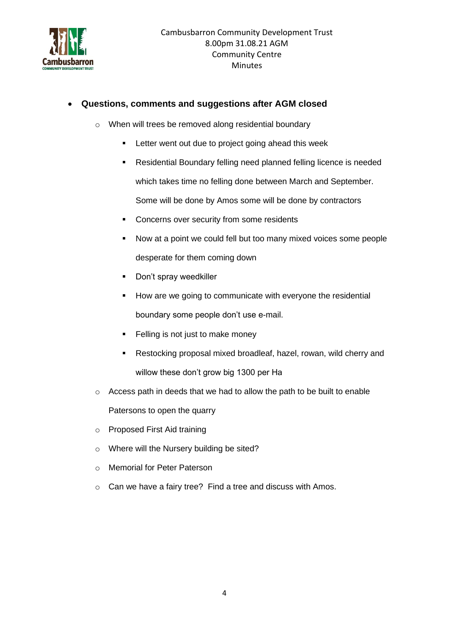

## • **Questions, comments and suggestions after AGM closed**

- o When will trees be removed along residential boundary
	- **EXECTER 1** Letter went out due to project going ahead this week
	- Residential Boundary felling need planned felling licence is needed which takes time no felling done between March and September. Some will be done by Amos some will be done by contractors
	- Concerns over security from some residents
	- Now at a point we could fell but too many mixed voices some people desperate for them coming down
	- Don't spray weedkiller
	- How are we going to communicate with everyone the residential boundary some people don't use e-mail.
	- Felling is not just to make money
	- Restocking proposal mixed broadleaf, hazel, rowan, wild cherry and willow these don't grow big 1300 per Ha
- o Access path in deeds that we had to allow the path to be built to enable

Patersons to open the quarry

- o Proposed First Aid training
- o Where will the Nursery building be sited?
- o Memorial for Peter Paterson
- o Can we have a fairy tree? Find a tree and discuss with Amos.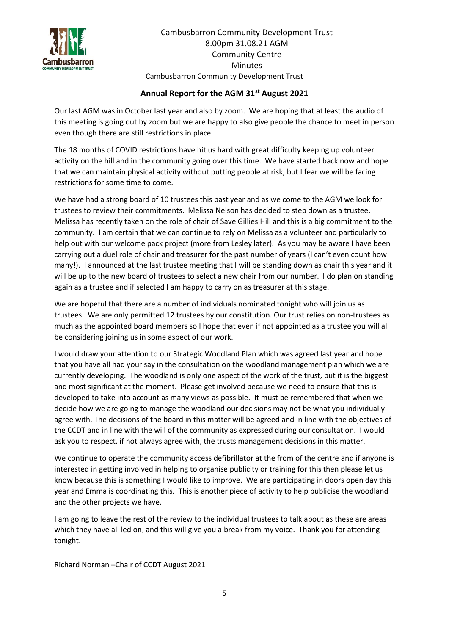

Cambusbarron Community Development Trust 8.00pm 31.08.21 AGM Community Centre Minutes Cambusbarron Community Development Trust

#### **Annual Report for the AGM 31st August 2021**

Our last AGM was in October last year and also by zoom. We are hoping that at least the audio of this meeting is going out by zoom but we are happy to also give people the chance to meet in person even though there are still restrictions in place.

The 18 months of COVID restrictions have hit us hard with great difficulty keeping up volunteer activity on the hill and in the community going over this time. We have started back now and hope that we can maintain physical activity without putting people at risk; but I fear we will be facing restrictions for some time to come.

We have had a strong board of 10 trustees this past year and as we come to the AGM we look for trustees to review their commitments. Melissa Nelson has decided to step down as a trustee. Melissa has recently taken on the role of chair of Save Gillies Hill and this is a big commitment to the community. I am certain that we can continue to rely on Melissa as a volunteer and particularly to help out with our welcome pack project (more from Lesley later). As you may be aware I have been carrying out a duel role of chair and treasurer for the past number of years (I can't even count how many!). I announced at the last trustee meeting that I will be standing down as chair this year and it will be up to the new board of trustees to select a new chair from our number. I do plan on standing again as a trustee and if selected I am happy to carry on as treasurer at this stage.

We are hopeful that there are a number of individuals nominated tonight who will join us as trustees. We are only permitted 12 trustees by our constitution. Our trust relies on non-trustees as much as the appointed board members so I hope that even if not appointed as a trustee you will all be considering joining us in some aspect of our work.

I would draw your attention to our Strategic Woodland Plan which was agreed last year and hope that you have all had your say in the consultation on the woodland management plan which we are currently developing. The woodland is only one aspect of the work of the trust, but it is the biggest and most significant at the moment. Please get involved because we need to ensure that this is developed to take into account as many views as possible. It must be remembered that when we decide how we are going to manage the woodland our decisions may not be what you individually agree with. The decisions of the board in this matter will be agreed and in line with the objectives of the CCDT and in line with the will of the community as expressed during our consultation. I would ask you to respect, if not always agree with, the trusts management decisions in this matter.

We continue to operate the community access defibrillator at the from of the centre and if anyone is interested in getting involved in helping to organise publicity or training for this then please let us know because this is something I would like to improve. We are participating in doors open day this year and Emma is coordinating this. This is another piece of activity to help publicise the woodland and the other projects we have.

I am going to leave the rest of the review to the individual trustees to talk about as these are areas which they have all led on, and this will give you a break from my voice. Thank you for attending tonight.

Richard Norman –Chair of CCDT August 2021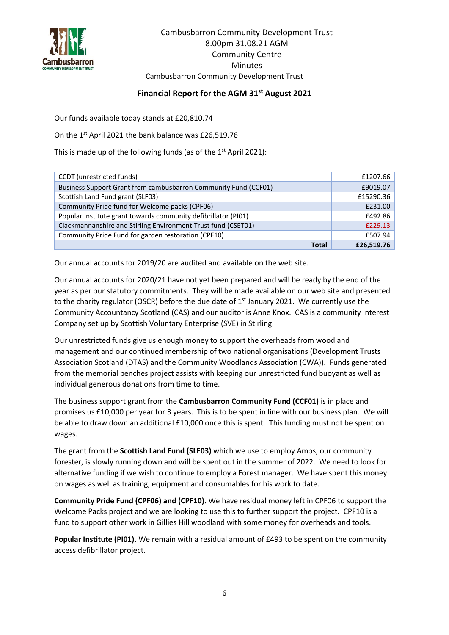

#### **Financial Report for the AGM 31st August 2021**

Our funds available today stands at £20,810.74

On the 1<sup>st</sup> April 2021 the bank balance was £26,519.76

This is made up of the following funds (as of the  $1<sup>st</sup>$  April 2021):

| CCDT (unrestricted funds)                                       | £1207.66   |
|-----------------------------------------------------------------|------------|
| Business Support Grant from cambusbarron Community Fund (CCF01) | £9019.07   |
| Scottish Land Fund grant (SLF03)                                | £15290.36  |
| Community Pride fund for Welcome packs (CPF06)                  | £231.00    |
| Popular Institute grant towards community defibrillator (PI01)  | £492.86    |
| Clackmannanshire and Stirling Environment Trust fund (CSET01)   | $-E229.13$ |
| Community Pride Fund for garden restoration (CPF10)             | £507.94    |
| <b>Total</b>                                                    | £26,519.76 |

Our annual accounts for 2019/20 are audited and available on the web site.

Our annual accounts for 2020/21 have not yet been prepared and will be ready by the end of the year as per our statutory commitments. They will be made available on our web site and presented to the charity regulator (OSCR) before the due date of  $1<sup>st</sup>$  January 2021. We currently use the Community Accountancy Scotland (CAS) and our auditor is Anne Knox. CAS is a community Interest Company set up by Scottish Voluntary Enterprise (SVE) in Stirling.

Our unrestricted funds give us enough money to support the overheads from woodland management and our continued membership of two national organisations (Development Trusts Association Scotland (DTAS) and the Community Woodlands Association (CWA)). Funds generated from the memorial benches project assists with keeping our unrestricted fund buoyant as well as individual generous donations from time to time.

The business support grant from the **Cambusbarron Community Fund (CCF01)** is in place and promises us £10,000 per year for 3 years. This is to be spent in line with our business plan. We will be able to draw down an additional £10,000 once this is spent. This funding must not be spent on wages.

The grant from the **Scottish Land Fund (SLF03)** which we use to employ Amos, our community forester, is slowly running down and will be spent out in the summer of 2022. We need to look for alternative funding if we wish to continue to employ a Forest manager. We have spent this money on wages as well as training, equipment and consumables for his work to date.

**Community Pride Fund (CPF06) and (CPF10).** We have residual money left in CPF06 to support the Welcome Packs project and we are looking to use this to further support the project. CPF10 is a fund to support other work in Gillies Hill woodland with some money for overheads and tools.

**Popular Institute (PI01).** We remain with a residual amount of £493 to be spent on the community access defibrillator project.